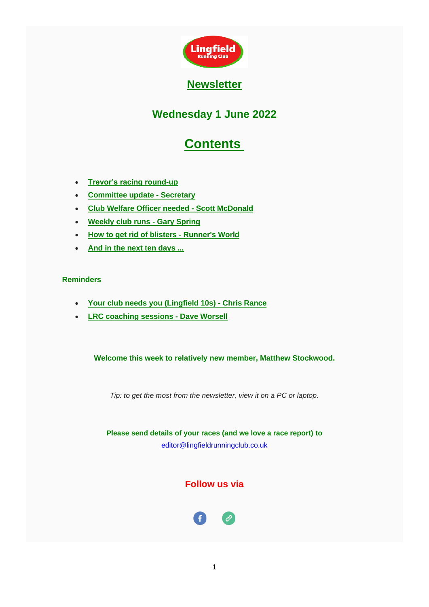

# **Wednesday 1 June 2022**

# **Contents**

- <span id="page-0-0"></span>• **[Trevor's racing round-up](#page-1-0)**
- **[Committee update -](#page-4-0) Secretary**
- **[Club Welfare Officer needed -](#page-4-1) Scott McDonald**
- **[Weekly club runs -](#page-5-0) Gary Spring**
- **[How to get rid of blisters -](#page-8-0) Runner's World**
- **And in the [next ten days ...](#page-8-1)**

### **Reminders**

- **[Your club needs you \(Lingfield 10s\) -](#page-10-0) Chris Rance**
- **[LRC coaching sessions -](#page-11-0) Dave Worsell**

**Welcome this week to relatively new member, Matthew Stockwood.**

*Tip: to get the most from the newsletter, view it on a PC or laptop.*

**Please send details of your races (and we love a race report) to**  [editor@lingfieldrunningclub.co.uk](mailto:editor@lingfieldrunningclub.co.uk)

# **Follow us via**

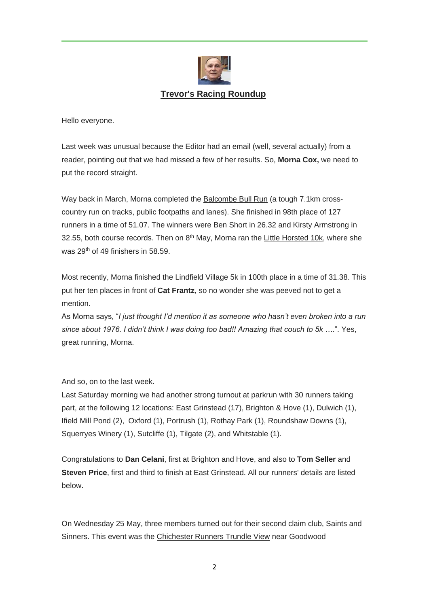

#### **Trevor's Racing Roundup**

<span id="page-1-0"></span>Hello everyone.

Last week was unusual because the Editor had an email (well, several actually) from a reader, pointing out that we had missed a few of her results. So, **Morna Cox,** we need to put the record straight.

Way back in March, Morna completed the Balcombe Bull Run (a tough 7.1km crosscountry run on tracks, public footpaths and lanes). She finished in 98th place of 127 runners in a time of 51.07. The winners were Ben Short in 26.32 and Kirsty Armstrong in 32.55, both course records. Then on  $8<sup>th</sup>$  May, Morna ran the Little Horsted 10k, where she was 29th of 49 finishers in 58.59.

Most recently, Morna finished the Lindfield Village 5k in 100th place in a time of 31.38. This put her ten places in front of **Cat Frantz**, so no wonder she was peeved not to get a mention.

As Morna says, "*I just thought I'd mention it as someone who hasn't even broken into a run since about 1976. I didn't think I was doing too bad!! Amazing that couch to 5k …*.". Yes, great running, Morna.

And so, on to the last week.

Last Saturday morning we had another strong turnout at parkrun with 30 runners taking part, at the following 12 locations: East Grinstead (17), Brighton & Hove (1), Dulwich (1), Ifield Mill Pond (2), Oxford (1), Portrush (1), Rothay Park (1), Roundshaw Downs (1), Squerryes Winery (1), Sutcliffe (1), Tilgate (2), and Whitstable (1).

Congratulations to **Dan Celani**, first at Brighton and Hove, and also to **Tom Seller** and **Steven Price**, first and third to finish at East Grinstead. All our runners' details are listed below.

On Wednesday 25 May, three members turned out for their second claim club, Saints and Sinners. This event was the Chichester Runners Trundle View near Goodwood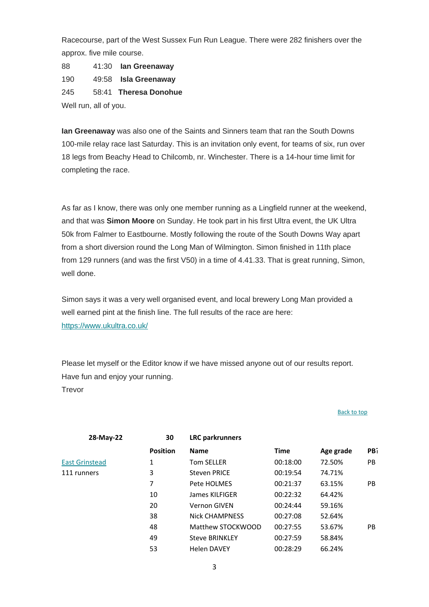Racecourse, part of the West Sussex Fun Run League. There were 282 finishers over the approx. five mile course.

88 41:30 **Ian Greenaway** 190 49:58 **Isla Greenaway** 245 58:41 **Theresa Donohue** Well run, all of you.

**Ian Greenaway** was also one of the Saints and Sinners team that ran the South Downs 100-mile relay race last Saturday. This is an invitation only event, for teams of six, run over 18 legs from Beachy Head to Chilcomb, nr. Winchester. There is a 14-hour time limit for completing the race.

As far as I know, there was only one member running as a Lingfield runner at the weekend, and that was **Simon Moore** on Sunday. He took part in his first Ultra event, the UK Ultra 50k from Falmer to Eastbourne. Mostly following the route of the South Downs Way apart from a short diversion round the Long Man of Wilmington. Simon finished in 11th place from 129 runners (and was the first V50) in a time of 4.41.33. That is great running, Simon, well done.

Simon says it was a very well organised event, and local brewery Long Man provided a well earned pint at the finish line. The full results of the race are here: [https://www.ukultra.co.uk/](https://lingfieldrunningclub.us15.list-manage.com/track/click?u=06ee37595aba77e0e81ded734&id=9a905e2b2a&e=7eacd48f96)

Please let myself or the Editor know if we have missed anyone out of our results report. Have fun and enjoy your running. **Trevor** 

| 28-May-22             | 30              | <b>LRC</b> parkrunners |          |           |           |
|-----------------------|-----------------|------------------------|----------|-----------|-----------|
|                       | <b>Position</b> | <b>Name</b>            | Time     | Age grade | PB?       |
| <b>East Grinstead</b> | 1               | Tom SELLER             | 00:18:00 | 72.50%    | <b>PB</b> |
| 111 runners           | 3               | <b>Steven PRICE</b>    | 00:19:54 | 74.71%    |           |
|                       | 7               | Pete HOLMES            | 00:21:37 | 63.15%    | PB        |
|                       | 10              | James KILFIGER         | 00:22:32 | 64.42%    |           |
|                       | 20              | <b>Vernon GIVEN</b>    | 00:24:44 | 59.16%    |           |
|                       | 38              | <b>Nick CHAMPNESS</b>  | 00:27:08 | 52.64%    |           |
|                       | 48              | Matthew STOCKWOOD      | 00:27:55 | 53.67%    | PB        |
|                       | 49              | <b>Steve BRINKLEY</b>  | 00:27:59 | 58.84%    |           |
|                       | 53              | <b>Helen DAVEY</b>     | 00:28:29 | 66.24%    |           |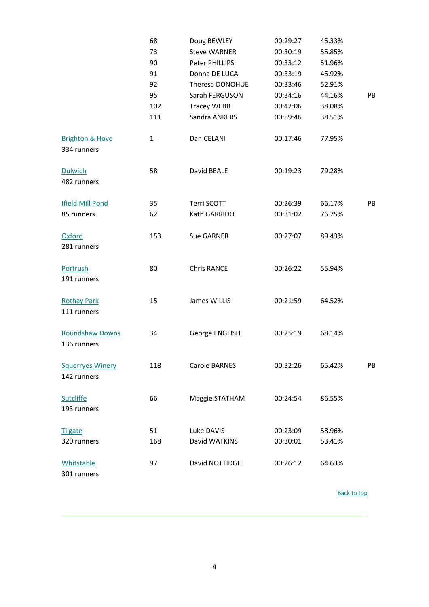|                                           | 68           | Doug BEWLEY         | 00:29:27 | 45.33% |    |
|-------------------------------------------|--------------|---------------------|----------|--------|----|
|                                           | 73           | <b>Steve WARNER</b> | 00:30:19 | 55.85% |    |
|                                           | 90           | Peter PHILLIPS      | 00:33:12 | 51.96% |    |
|                                           | 91           | Donna DE LUCA       | 00:33:19 | 45.92% |    |
|                                           | 92           | Theresa DONOHUE     | 00:33:46 | 52.91% |    |
|                                           | 95           | Sarah FERGUSON      | 00:34:16 | 44.16% | PB |
|                                           | 102          | <b>Tracey WEBB</b>  | 00:42:06 | 38.08% |    |
|                                           | 111          | Sandra ANKERS       | 00:59:46 | 38.51% |    |
| <b>Brighton &amp; Hove</b><br>334 runners | $\mathbf{1}$ | Dan CELANI          | 00:17:46 | 77.95% |    |
| <b>Dulwich</b><br>482 runners             | 58           | David BEALE         | 00:19:23 | 79.28% |    |
| <b>Ifield Mill Pond</b>                   | 35           | Terri SCOTT         | 00:26:39 | 66.17% | PB |
| 85 runners                                | 62           | Kath GARRIDO        | 00:31:02 | 76.75% |    |
| Oxford<br>281 runners                     | 153          | Sue GARNER          | 00:27:07 | 89.43% |    |
| Portrush<br>191 runners                   | 80           | <b>Chris RANCE</b>  | 00:26:22 | 55.94% |    |
| <b>Rothay Park</b><br>111 runners         | 15           | James WILLIS        | 00:21:59 | 64.52% |    |
| <b>Roundshaw Downs</b><br>136 runners     | 34           | George ENGLISH      | 00:25:19 | 68.14% |    |
| <b>Squerryes Winery</b><br>142 runners    | 118          | Carole BARNES       | 00:32:26 | 65.42% | PB |
| <b>Sutcliffe</b><br>193 runners           | 66           | Maggie STATHAM      | 00:24:54 | 86.55% |    |
| <b>Tilgate</b>                            | 51           | Luke DAVIS          | 00:23:09 | 58.96% |    |
| 320 runners                               | 168          | David WATKINS       | 00:30:01 | 53.41% |    |
| Whitstable<br>301 runners                 | 97           | David NOTTIDGE      | 00:26:12 | 64.63% |    |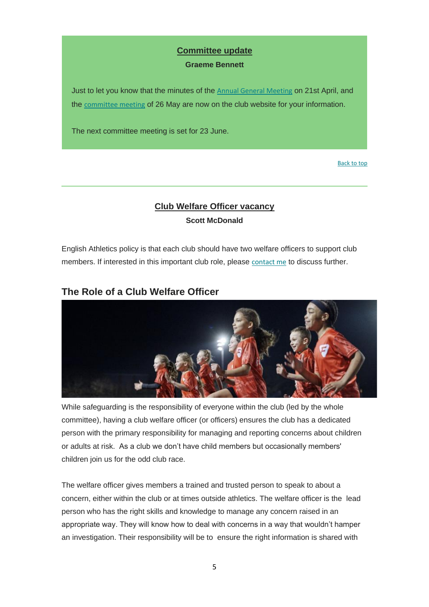### **Committee update**

#### **Graeme Bennett**

<span id="page-4-0"></span>Just to let you know that the minutes of the [Annual General Meeting](https://lingfieldrunningclub.us15.list-manage.com/track/click?u=06ee37595aba77e0e81ded734&id=509617e41c&e=7eacd48f96) on 21st April, and the [committee meeting](https://lingfieldrunningclub.us15.list-manage.com/track/click?u=06ee37595aba77e0e81ded734&id=d646e86860&e=7eacd48f96) of 26 May are now on the club website for your information.

The next committee meeting is set for 23 June.

[Back to top](#page-0-0)

# **Club Welfare Officer vacancy Scott McDonald**

<span id="page-4-1"></span>English Athletics policy is that each club should have two welfare officers to support club members. If interested in this important club role, please [contact me](mailto:chair@lingfieldrunningclub.co.uk) to discuss further.

# **The Role of a Club Welfare Officer**



While safeguarding is the responsibility of everyone within the club (led by the whole committee), having a club welfare officer (or officers) ensures the club has a dedicated person with the primary responsibility for managing and reporting concerns about children or adults at risk. As a club we don't have child members but occasionally members' children join us for the odd club race.

The welfare officer gives members a trained and trusted person to speak to about a concern, either within the club or at times outside athletics. The welfare officer is the lead person who has the right skills and knowledge to manage any concern raised in an appropriate way. They will know how to deal with concerns in a way that wouldn't hamper an investigation. Their responsibility will be to ensure the right information is shared with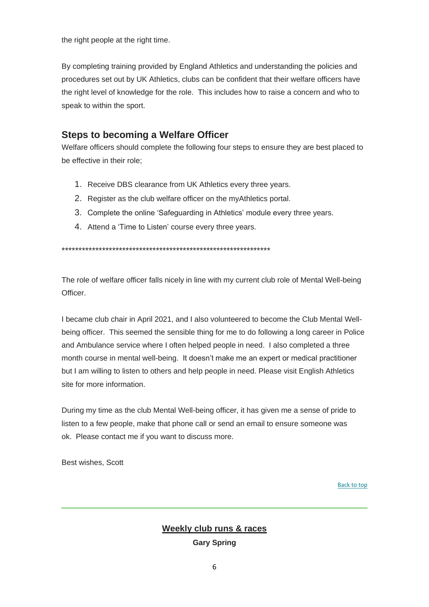the right people at the right time.

By completing training provided by England Athletics and understanding the policies and procedures set out by UK Athletics, clubs can be confident that their welfare officers have the right level of knowledge for the role. This includes how to raise a concern and who to speak to within the sport.

# **Steps to becoming a Welfare Officer**

Welfare officers should complete the following four steps to ensure they are best placed to be effective in their role;

- 1. Receive DBS clearance from UK Athletics every three years.
- 2. Register as the club welfare officer on the myAthletics portal.
- 3. Complete the online 'Safeguarding in Athletics' module every three years.
- 4. Attend a 'Time to Listen' course every three years.

\*\*\*\*\*\*\*\*\*\*\*\*\*\*\*\*\*\*\*\*\*\*\*\*\*\*\*\*\*\*\*\*\*\*\*\*\*\*\*\*\*\*\*\*\*\*\*\*\*\*\*\*\*\*\*\*\*\*\*\*\*\*

The role of welfare officer falls nicely in line with my current club role of Mental Well-being Officer.

I became club chair in April 2021, and I also volunteered to become the Club Mental Wellbeing officer. This seemed the sensible thing for me to do following a long career in Police and Ambulance service where I often helped people in need. I also completed a three month course in mental well-being. It doesn't make me an expert or medical practitioner but I am willing to listen to others and help people in need. Please visit English Athletics site for more information.

During my time as the club Mental Well-being officer, it has given me a sense of pride to listen to a few people, make that phone call or send an email to ensure someone was ok. Please contact me if you want to discuss more.

<span id="page-5-0"></span>Best wishes, Scott

[Back to top](#page-0-0)

### **Weekly club runs & races**

**Gary Spring**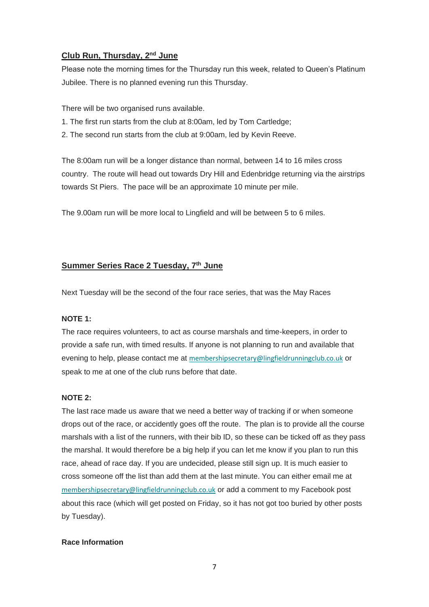### **Club Run, Thursday, 2nd June**

Please note the morning times for the Thursday run this week, related to Queen's Platinum Jubilee. There is no planned evening run this Thursday.

There will be two organised runs available.

- 1. The first run starts from the club at 8:00am, led by Tom Cartledge;
- 2. The second run starts from the club at 9:00am, led by Kevin Reeve.

The 8:00am run will be a longer distance than normal, between 14 to 16 miles cross country. The route will head out towards Dry Hill and Edenbridge returning via the airstrips towards St Piers. The pace will be an approximate 10 minute per mile.

The 9.00am run will be more local to Lingfield and will be between 5 to 6 miles.

### **Summer Series Race 2 Tuesday, 7th June**

Next Tuesday will be the second of the four race series, that was the May Races

#### **NOTE 1:**

The race requires volunteers, to act as course marshals and time-keepers, in order to provide a safe run, with timed results. If anyone is not planning to run and available that evening to help, please contact me at [membershipsecretary@lingfieldrunningclub.co.uk](mailto:membershipsecretary@lingfieldrunningclub.co.uk) or speak to me at one of the club runs before that date.

#### **NOTE 2:**

The last race made us aware that we need a better way of tracking if or when someone drops out of the race, or accidently goes off the route. The plan is to provide all the course marshals with a list of the runners, with their bib ID, so these can be ticked off as they pass the marshal. It would therefore be a big help if you can let me know if you plan to run this race, ahead of race day. If you are undecided, please still sign up. It is much easier to cross someone off the list than add them at the last minute. You can either email me at [membershipsecretary@lingfieldrunningclub.co.uk](mailto:membershipsecretary@lingfieldrunningclub.co.uk) or add a comment to my Facebook post about this race (which will get posted on Friday, so it has not got too buried by other posts by Tuesday).

#### **Race Information**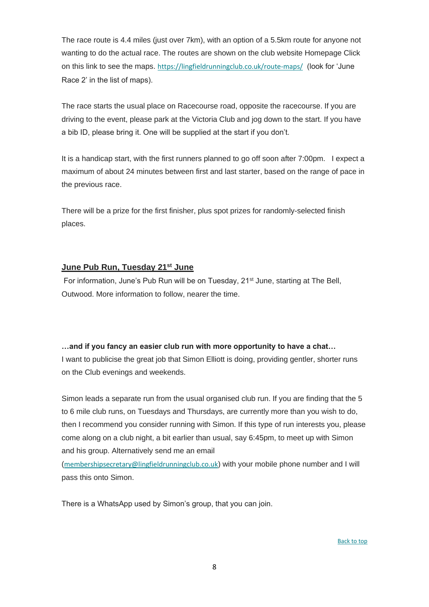The race route is 4.4 miles (just over 7km), with an option of a 5.5km route for anyone not wanting to do the actual race. The routes are shown on the club website Homepage Click on this link to see the maps. [https://lingfieldrunningclub.co.uk/route-maps/](https://lingfieldrunningclub.us15.list-manage.com/track/click?u=06ee37595aba77e0e81ded734&id=009c0fafe9&e=7eacd48f96) (look for 'June Race 2' in the list of maps).

The race starts the usual place on Racecourse road, opposite the racecourse. If you are driving to the event, please park at the Victoria Club and jog down to the start. If you have a bib ID, please bring it. One will be supplied at the start if you don't.

It is a handicap start, with the first runners planned to go off soon after 7:00pm. I expect a maximum of about 24 minutes between first and last starter, based on the range of pace in the previous race.

There will be a prize for the first finisher, plus spot prizes for randomly-selected finish places.

### **June Pub Run, Tuesday 21st June**

For information, June's Pub Run will be on Tuesday, 21<sup>st</sup> June, starting at The Bell, Outwood. More information to follow, nearer the time.

#### **…and if you fancy an easier club run with more opportunity to have a chat…**

I want to publicise the great job that Simon Elliott is doing, providing gentler, shorter runs on the Club evenings and weekends.

Simon leads a separate run from the usual organised club run. If you are finding that the 5 to 6 mile club runs, on Tuesdays and Thursdays, are currently more than you wish to do, then I recommend you consider running with Simon. If this type of run interests you, please come along on a club night, a bit earlier than usual, say 6:45pm, to meet up with Simon and his group. Alternatively send me an email

([membershipsecretary@lingfieldrunningclub.co.uk](mailto:membershipsecretary@lingfieldrunningclub.co.uk)) with your mobile phone number and I will pass this onto Simon.

There is a WhatsApp used by Simon's group, that you can join.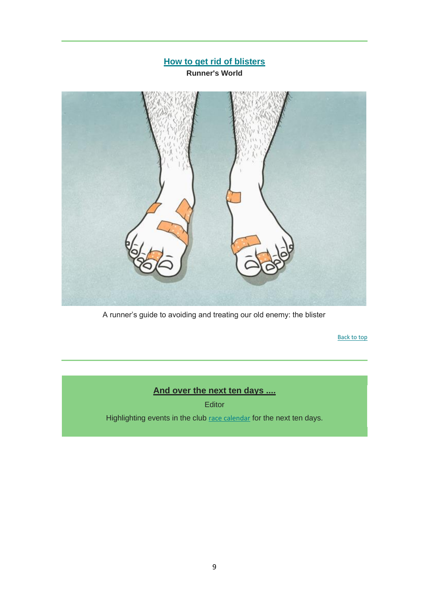<span id="page-8-0"></span>

A runner's guide to avoiding and treating our old enemy: the blister

[Back to top](#page-0-0)

# **And over the next ten days ....**

**Editor** 

<span id="page-8-1"></span>Highlighting events in the club [race calendar](https://lingfieldrunningclub.us15.list-manage.com/track/click?u=06ee37595aba77e0e81ded734&id=ebf51d979d&e=7eacd48f96) for the next ten days.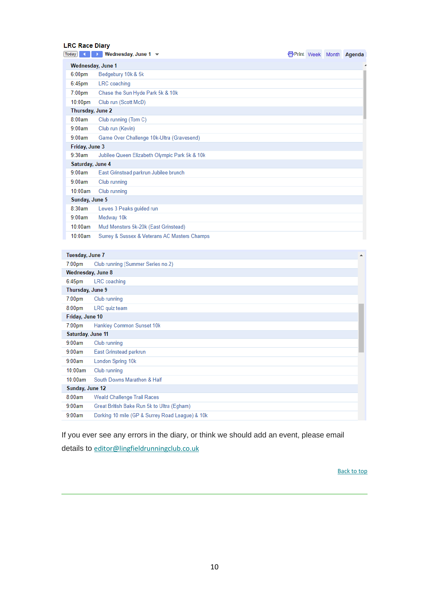#### **LRC Race Diary**

| <b>Today</b>       | Wednesday, June 1 $\blacktriangledown$        |  | <b>form</b> Week Month Agenda |
|--------------------|-----------------------------------------------|--|-------------------------------|
| Wednesday, June 1  |                                               |  |                               |
| 6:00 <sub>pm</sub> | Bedgebury 10k & 5k                            |  |                               |
| 6:45pm             | LRC coaching                                  |  |                               |
| $7:00$ pm          | Chase the Sun Hyde Park 5k & 10k              |  |                               |
| $10:00$ pm         | Club run (Scott McD)                          |  |                               |
| Thursday, June 2   |                                               |  |                               |
| 8:00am             | Club running (Tom C)                          |  |                               |
| 9:00am             | Club run (Kevin)                              |  |                               |
| 9:00am             | Game Over Challenge 10k-Ultra (Gravesend)     |  |                               |
| Friday, June 3     |                                               |  |                               |
| 9:30am             | Jubilee Queen Elizabeth Olympic Park 5k & 10k |  |                               |
| Saturday, June 4   |                                               |  |                               |
| 9:00am             | East Grinstead parkrun Jubilee brunch         |  |                               |
| 9:00am             | Club running                                  |  |                               |
| 10:00am            | Club running                                  |  |                               |
| Sunday, June 5     |                                               |  |                               |
| 8:30am             | Lewes 3 Peaks guided run                      |  |                               |
| 9:00am             | Medway 10k                                    |  |                               |
| 10:00am            | Mud Monsters 5k-20k (East Grinstead)          |  |                               |
| 10:00am            | Surrey & Sussex & Veterans AC Masters Champs  |  |                               |

#### Tuesday, June 7

| Tuesday, June 7    |                                                 | ▲ |
|--------------------|-------------------------------------------------|---|
| $7:00 \text{pm}$   | Club running (Summer Series no.2)               |   |
| Wednesday, June 8  |                                                 |   |
| $6:45$ pm          | LRC coaching                                    |   |
| Thursday, June 9   |                                                 |   |
| $7:00$ pm          | Club running                                    |   |
| 8:00 <sub>pm</sub> | LRC quiz team                                   |   |
| Friday, June 10    |                                                 |   |
| $7:00$ pm          | Hankley Common Sunset 10k                       |   |
| Saturday, June 11  |                                                 |   |
| 9:00am             | Club running                                    |   |
| 9:00am             | East Grinstead parkrun                          |   |
| 9:00am             | London Spring 10k                               |   |
| 10:00am            | Club running                                    |   |
| 10:00am            | South Downs Marathon & Half                     |   |
| Sunday, June 12    |                                                 |   |
| 8:00am             | Weald Challenge Trail Races                     |   |
| 9:00am             | Great British Bake Run 5k to Ultra (Egham)      |   |
| 9:00am             | Dorking 10 mile (GP & Surrey Road League) & 10k |   |

If you ever see any errors in the diary, or think we should add an event, please email details to [editor@lingfieldrunningclub.co.uk](mailto:editor@lingfieldrunningclub.co.uk)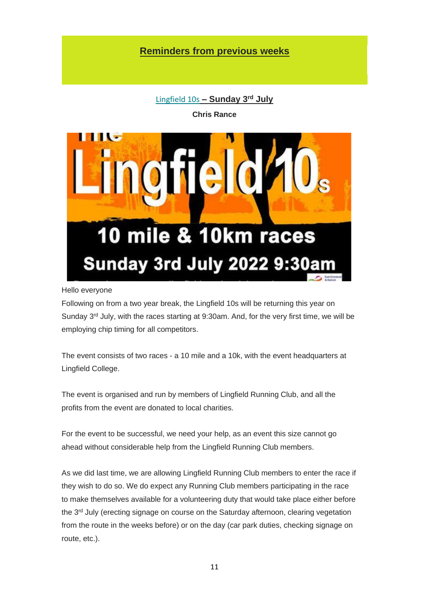# **Reminders from previous weeks**

[Lingfield 10s](https://lingfieldrunningclub.us15.list-manage.com/track/click?u=06ee37595aba77e0e81ded734&id=33608002c0&e=7eacd48f96) **– Sunday 3 rd July**

**Chris Rance**

<span id="page-10-0"></span>

#### Hello everyone

Following on from a two year break, the Lingfield 10s will be returning this year on Sunday 3<sup>rd</sup> July, with the races starting at 9:30am. And, for the very first time, we will be employing chip timing for all competitors.

The event consists of two races - a 10 mile and a 10k, with the event headquarters at Lingfield College.

The event is organised and run by members of Lingfield Running Club, and all the profits from the event are donated to local charities.

For the event to be successful, we need your help, as an event this size cannot go ahead without considerable help from the Lingfield Running Club members.

As we did last time, we are allowing Lingfield Running Club members to enter the race if they wish to do so. We do expect any Running Club members participating in the race to make themselves available for a volunteering duty that would take place either before the 3<sup>rd</sup> July (erecting signage on course on the Saturday afternoon, clearing vegetation from the route in the weeks before) or on the day (car park duties, checking signage on route, etc.).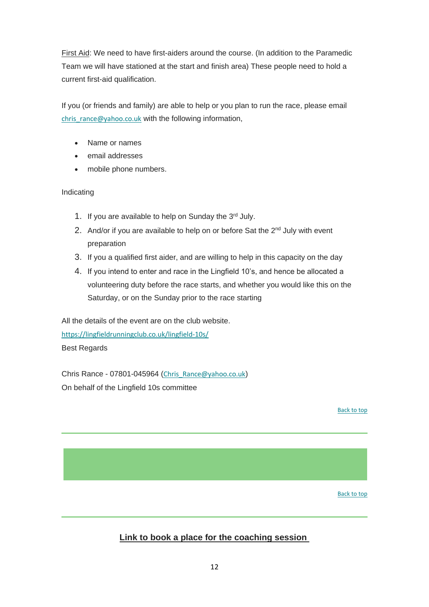First Aid: We need to have first-aiders around the course. (In addition to the Paramedic Team we will have stationed at the start and finish area) These people need to hold a current first-aid qualification.

If you (or friends and family) are able to help or you plan to run the race, please email [chris\\_rance@yahoo.co.uk](mailto:chris_rance@yahoo.co.uk) with the following information,

- Name or names
- email addresses
- mobile phone numbers.

#### Indicating

- 1. If you are available to help on Sunday the 3rd July.
- 2. And/or if you are available to help on or before Sat the  $2^{nd}$  July with event preparation
- 3. If you a qualified first aider, and are willing to help in this capacity on the day
- 4. If you intend to enter and race in the Lingfield 10's, and hence be allocated a volunteering duty before the race starts, and whether you would like this on the Saturday, or on the Sunday prior to the race starting

All the details of the event are on the club website. [https://lingfieldrunningclub.co.uk/lingfield-10s/](https://lingfieldrunningclub.us15.list-manage.com/track/click?u=06ee37595aba77e0e81ded734&id=a032b55f59&e=7eacd48f96) Best Regards

Chris Rance - 07801-045964 ([Chris\\_Rance@yahoo.co.uk](mailto:Chris_Rance@yahoo.co.uk)) On behalf of the Lingfield 10s committee

[Back to top](#page-0-0)

[Back to top](#page-0-0)

# <span id="page-11-0"></span>**Link to book a place for the coaching session**